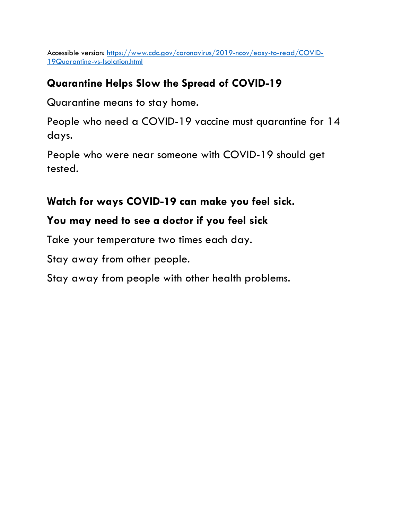Accessible version: [https://www.cdc.gov/coronavirus/2019-ncov/easy-to-read/COVID-](https://www.cdc.gov/coronavirus/2019-ncov/easy-to-read/COVID-19-Quarantine-vs-Isolation.html)[19Quarantine-vs-Isolation.html](https://www.cdc.gov/coronavirus/2019-ncov/easy-to-read/COVID-19-Quarantine-vs-Isolation.html)

# **Quarantine Helps Slow the Spread of COVID-19**

Quarantine means to stay home.

People who need a COVID-19 vaccine must quarantine for 14 days.

People who were near someone with COVID-19 should get tested.

### **Watch for ways COVID-19 can make you feel sick.**

# **You may need to see a doctor if you feel sick**

Take your temperature two times each day.

Stay away from other people.

Stay away from people with other health problems.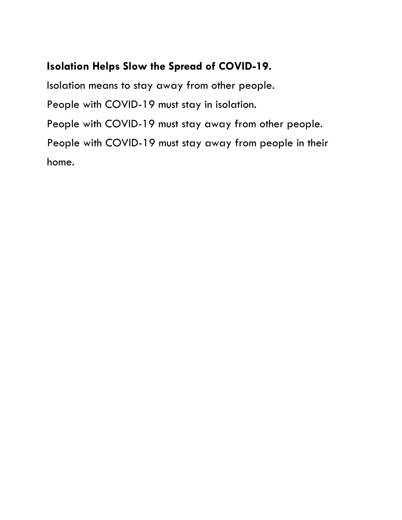#### **Isolation Helps Slow the Spread of COVID-19.**

Isolation means to stay away from other people. People with COVID-19 must stay in isolation. People with COVID-19 must stay away from other people. People with COVID-19 must stay away from people in their home.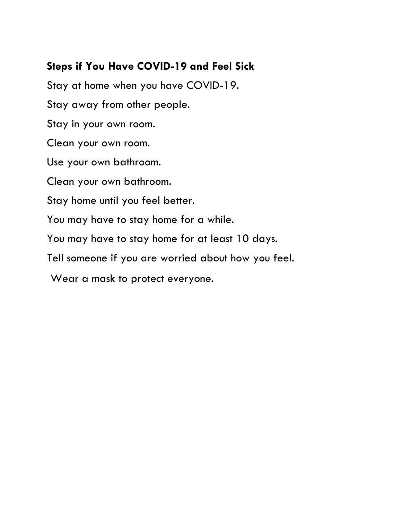### **Steps if You Have COVID-19 and Feel Sick**

Stay at home when you have COVID-19. Stay away from other people. Stay in your own room. Clean your own room. Use your own bathroom. Clean your own bathroom. Stay home until you feel better. You may have to stay home for a while. You may have to stay home for at least 10 days. Tell someone if you are worried about how you feel.

Wear a mask to protect everyone.